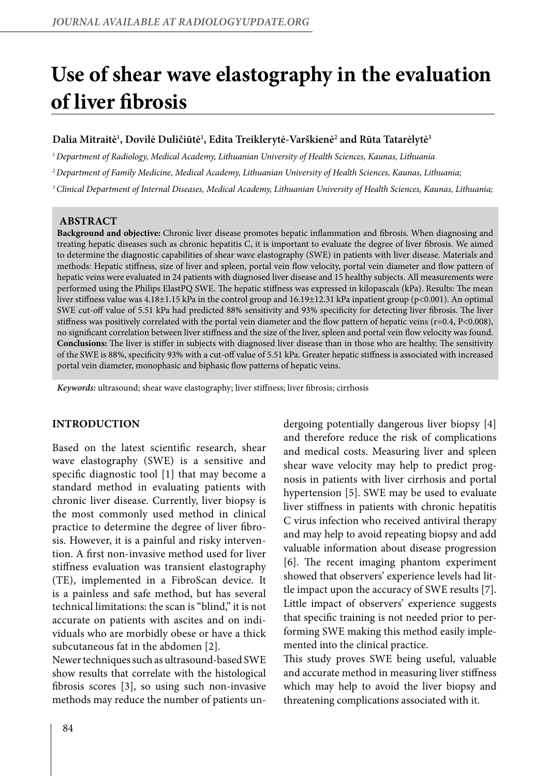# **Use of shear wave elastography in the evaluation of liver fibrosis**

# **Dalia Mitraitė1 , Dovilė Duličiūtė1 , Edita Treiklerytė-Varškienė2 and Rūta Tatarėlytė3**

*1 Department of Radiology, Medical Academy, Lithuanian University of Health Sciences, Kaunas, Lithuania* 

*2 Department of Family Medicine, Medical Academy, Lithuanian University of Health Sciences, Kaunas, Lithuania;* 

*3 Clinical Department of Internal Diseases, Medical Academy, Lithuanian University of Health Sciences, Kaunas, Lithuania;* 

### **ABSTRACT**

**Background and objective:** Chronic liver disease promotes hepatic inflammation and fibrosis. When diagnosing and treating hepatic diseases such as chronic hepatitis C, it is important to evaluate the degree of liver fibrosis. We aimed to determine the diagnostic capabilities of shear wave elastography (SWE) in patients with liver disease. Materials and methods: Hepatic stiffness, size of liver and spleen, portal vein flow velocity, portal vein diameter and flow pattern of hepatic veins were evaluated in 24 patients with diagnosed liver disease and 15 healthy subjects. All measurements were performed using the Philips ElastPQ SWE. The hepatic stiffness was expressed in kilopascals (kPa). Results: The mean liver stiffness value was 4.18±1.15 kPa in the control group and 16.19±12.31 kPa inpatient group (p<0.001). An optimal SWE cut-off value of 5.51 kPa had predicted 88% sensitivity and 93% specificity for detecting liver fibrosis. The liver stiffness was positively correlated with the portal vein diameter and the flow pattern of hepatic veins (r=0.4, P<0.008), no significant correlation between liver stiffness and the size of the liver, spleen and portal vein flow velocity was found. **Conclusions:** The liver is stiffer in subjects with diagnosed liver disease than in those who are healthy. The sensitivity of the SWE is 88%, specificity 93% with a cut-off value of 5.51 kPa. Greater hepatic stiffness is associated with increased portal vein diameter, monophasic and biphasic flow patterns of hepatic veins.

*Keywords:* ultrasound; shear wave elastography; liver stiffness; liver fibrosis; cirrhosis

#### **INTRODUCTION**

Based on the latest scientific research, shear wave elastography (SWE) is a sensitive and specific diagnostic tool [1] that may become a standard method in evaluating patients with chronic liver disease. Currently, liver biopsy is the most commonly used method in clinical practice to determine the degree of liver fibrosis. However, it is a painful and risky intervention. A first non-invasive method used for liver stiffness evaluation was transient elastography (TE), implemented in a FibroScan device. It is a painless and safe method, but has several technical limitations: the scan is "blind," it is not accurate on patients with ascites and on individuals who are morbidly obese or have a thick subcutaneous fat in the abdomen [2].

Newer techniques such as ultrasound-based SWE show results that correlate with the histological fibrosis scores [3], so using such non-invasive methods may reduce the number of patients undergoing potentially dangerous liver biopsy [4] and therefore reduce the risk of complications and medical costs. Measuring liver and spleen shear wave velocity may help to predict prognosis in patients with liver cirrhosis and portal hypertension [5]. SWE may be used to evaluate liver stiffness in patients with chronic hepatitis C virus infection who received antiviral therapy and may help to avoid repeating biopsy and add valuable information about disease progression [6]. The recent imaging phantom experiment showed that observers' experience levels had little impact upon the accuracy of SWE results [7]. Little impact of observers' experience suggests that specific training is not needed prior to performing SWE making this method easily implemented into the clinical practice.

This study proves SWE being useful, valuable and accurate method in measuring liver stiffness which may help to avoid the liver biopsy and threatening complications associated with it.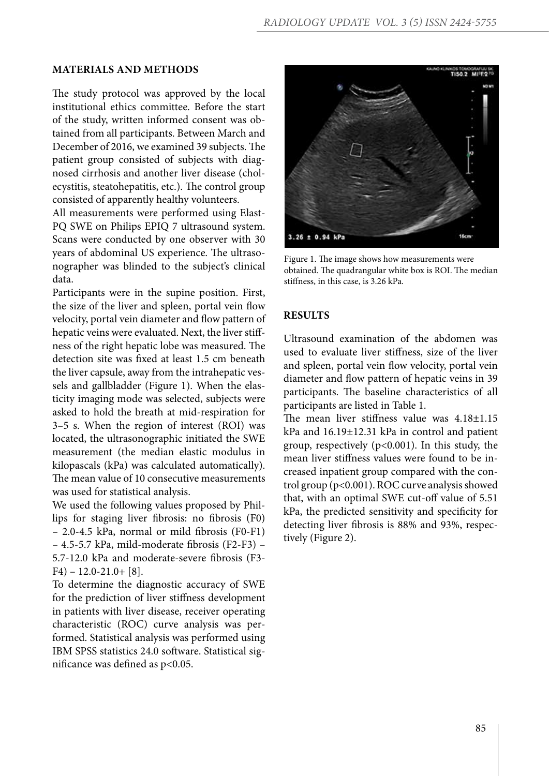# **MATERIALS AND METHODS**

The study protocol was approved by the local institutional ethics committee. Before the start of the study, written informed consent was obtained from all participants. Between March and December of 2016, we examined 39 subjects. The patient group consisted of subjects with diagnosed cirrhosis and another liver disease (cholecystitis, steatohepatitis, etc.). The control group consisted of apparently healthy volunteers.

All measurements were performed using Elast-PQ SWE on Philips EPIQ 7 ultrasound system. Scans were conducted by one observer with 30 years of abdominal US experience. The ultrasonographer was blinded to the subject's clinical data.

Participants were in the supine position. First, the size of the liver and spleen, portal vein flow velocity, portal vein diameter and flow pattern of hepatic veins were evaluated. Next, the liver stiffness of the right hepatic lobe was measured. The detection site was fixed at least 1.5 cm beneath the liver capsule, away from the intrahepatic vessels and gallbladder (Figure 1). When the elasticity imaging mode was selected, subjects were asked to hold the breath at mid-respiration for 3–5 s. When the region of interest (ROI) was located, the ultrasonographic initiated the SWE measurement (the median elastic modulus in kilopascals (kPa) was calculated automatically). The mean value of 10 consecutive measurements was used for statistical analysis.

We used the following values proposed by Phillips for staging liver fibrosis: no fibrosis (F0) – 2.0-4.5 kPa, normal or mild fibrosis (F0-F1) – 4.5-5.7 kPa, mild-moderate fibrosis (F2-F3) – 5.7-12.0 kPa and moderate-severe fibrosis (F3- F4) – 12.0-21.0+ [8].

To determine the diagnostic accuracy of SWE for the prediction of liver stiffness development in patients with liver disease, receiver operating characteristic (ROC) curve analysis was performed. Statistical analysis was performed using IBM SPSS statistics 24.0 software. Statistical significance was defined as p<0.05.



Figure 1. The image shows how measurements were obtained. The quadrangular white box is ROI. The median stiffness, in this case, is 3.26 kPa.

## **RESULTS**

Ultrasound examination of the abdomen was used to evaluate liver stiffness, size of the liver and spleen, portal vein flow velocity, portal vein diameter and flow pattern of hepatic veins in 39 participants. The baseline characteristics of all participants are listed in Table 1.

The mean liver stiffness value was 4.18±1.15 kPa and 16.19±12.31 kPa in control and patient group, respectively (p<0.001). In this study, the mean liver stiffness values were found to be increased inpatient group compared with the control group (p<0.001). ROC curve analysis showed that, with an optimal SWE cut-off value of 5.51 kPa, the predicted sensitivity and specificity for detecting liver fibrosis is 88% and 93%, respectively (Figure 2).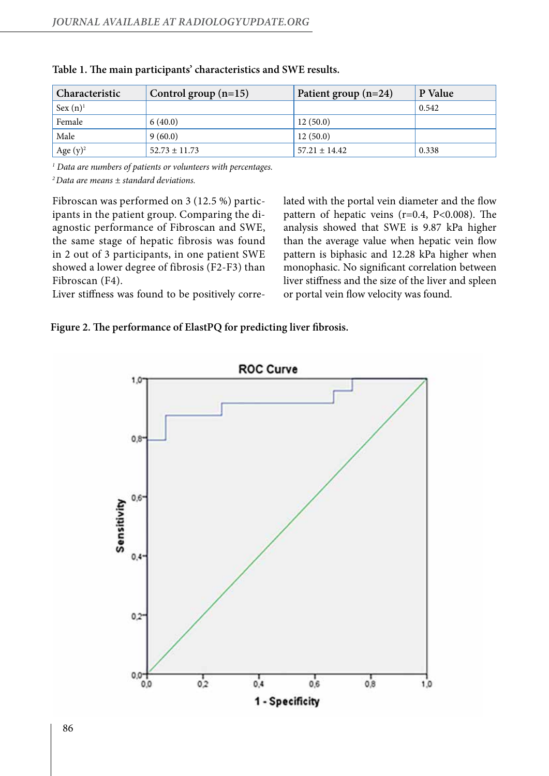| Characteristic | Control group $(n=15)$ | Patient group $(n=24)$ | P Value |
|----------------|------------------------|------------------------|---------|
| $Sex(n)^1$     |                        |                        | 0.542   |
| Female         | 6(40.0)                | 12(50.0)               |         |
| Male           | 9(60.0)                | 12(50.0)               |         |
| Age $(y)^2$    | $52.73 \pm 11.73$      | $57.21 \pm 14.42$      | 0.338   |

|  |  |  |  | Table 1. The main participants' characteristics and SWE results. |  |
|--|--|--|--|------------------------------------------------------------------|--|
|--|--|--|--|------------------------------------------------------------------|--|

*1 Data are numbers of patients or volunteers with percentages.*

*2 Data are means ± standard deviations.*

Fibroscan was performed on 3 (12.5 %) participants in the patient group. Comparing the diagnostic performance of Fibroscan and SWE, the same stage of hepatic fibrosis was found in 2 out of 3 participants, in one patient SWE showed a lower degree of fibrosis (F2-F3) than Fibroscan (F4).

lated with the portal vein diameter and the flow pattern of hepatic veins (r=0.4, P<0.008). The analysis showed that SWE is 9.87 kPa higher than the average value when hepatic vein flow pattern is biphasic and 12.28 kPa higher when monophasic. No significant correlation between liver stiffness and the size of the liver and spleen or portal vein flow velocity was found.

Liver stiffness was found to be positively corre-

**Figure 2. The performance of ElastPQ for predicting liver fibrosis.**

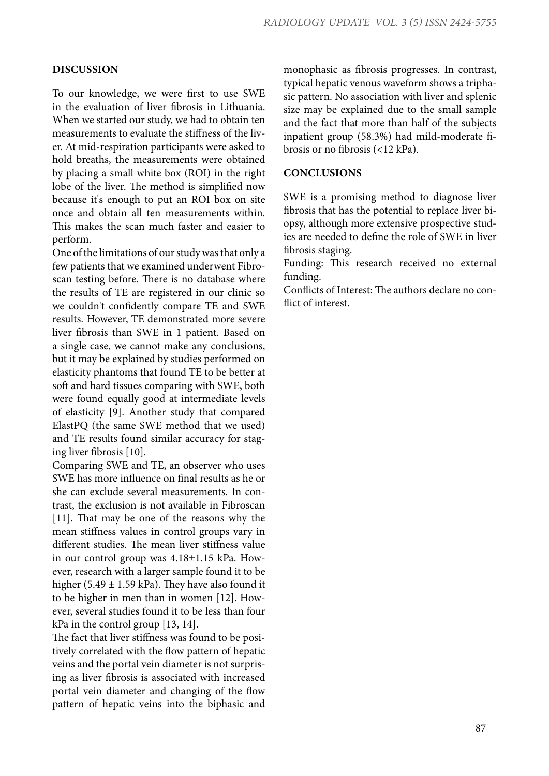## **DISCUSSION**

To our knowledge, we were first to use SWE in the evaluation of liver fibrosis in Lithuania. When we started our study, we had to obtain ten measurements to evaluate the stiffness of the liver. At mid-respiration participants were asked to hold breaths, the measurements were obtained by placing a small white box (ROI) in the right lobe of the liver. The method is simplified now because it's enough to put an ROI box on site once and obtain all ten measurements within. This makes the scan much faster and easier to perform.

One of the limitations of our study was that only a few patients that we examined underwent Fibroscan testing before. There is no database where the results of TE are registered in our clinic so we couldn't confidently compare TE and SWE results. However, TE demonstrated more severe liver fibrosis than SWE in 1 patient. Based on a single case, we cannot make any conclusions, but it may be explained by studies performed on elasticity phantoms that found TE to be better at soft and hard tissues comparing with SWE, both were found equally good at intermediate levels of elasticity [9]. Another study that compared ElastPQ (the same SWE method that we used) and TE results found similar accuracy for staging liver fibrosis [10].

Comparing SWE and TE, an observer who uses SWE has more influence on final results as he or she can exclude several measurements. In contrast, the exclusion is not available in Fibroscan [11]. That may be one of the reasons why the mean stiffness values in control groups vary in different studies. The mean liver stiffness value in our control group was 4.18±1.15 kPa. However, research with a larger sample found it to be higher (5.49  $\pm$  1.59 kPa). They have also found it to be higher in men than in women [12]. However, several studies found it to be less than four kPa in the control group [13, 14].

The fact that liver stiffness was found to be positively correlated with the flow pattern of hepatic veins and the portal vein diameter is not surprising as liver fibrosis is associated with increased portal vein diameter and changing of the flow pattern of hepatic veins into the biphasic and monophasic as fibrosis progresses. In contrast, typical hepatic venous waveform shows a triphasic pattern. No association with liver and splenic size may be explained due to the small sample and the fact that more than half of the subjects inpatient group (58.3%) had mild-moderate fibrosis or no fibrosis (<12 kPa).

## **CONCLUSIONS**

SWE is a promising method to diagnose liver fibrosis that has the potential to replace liver biopsy, although more extensive prospective studies are needed to define the role of SWE in liver fibrosis staging.

Funding: This research received no external funding.

Conflicts of Interest: The authors declare no conflict of interest.